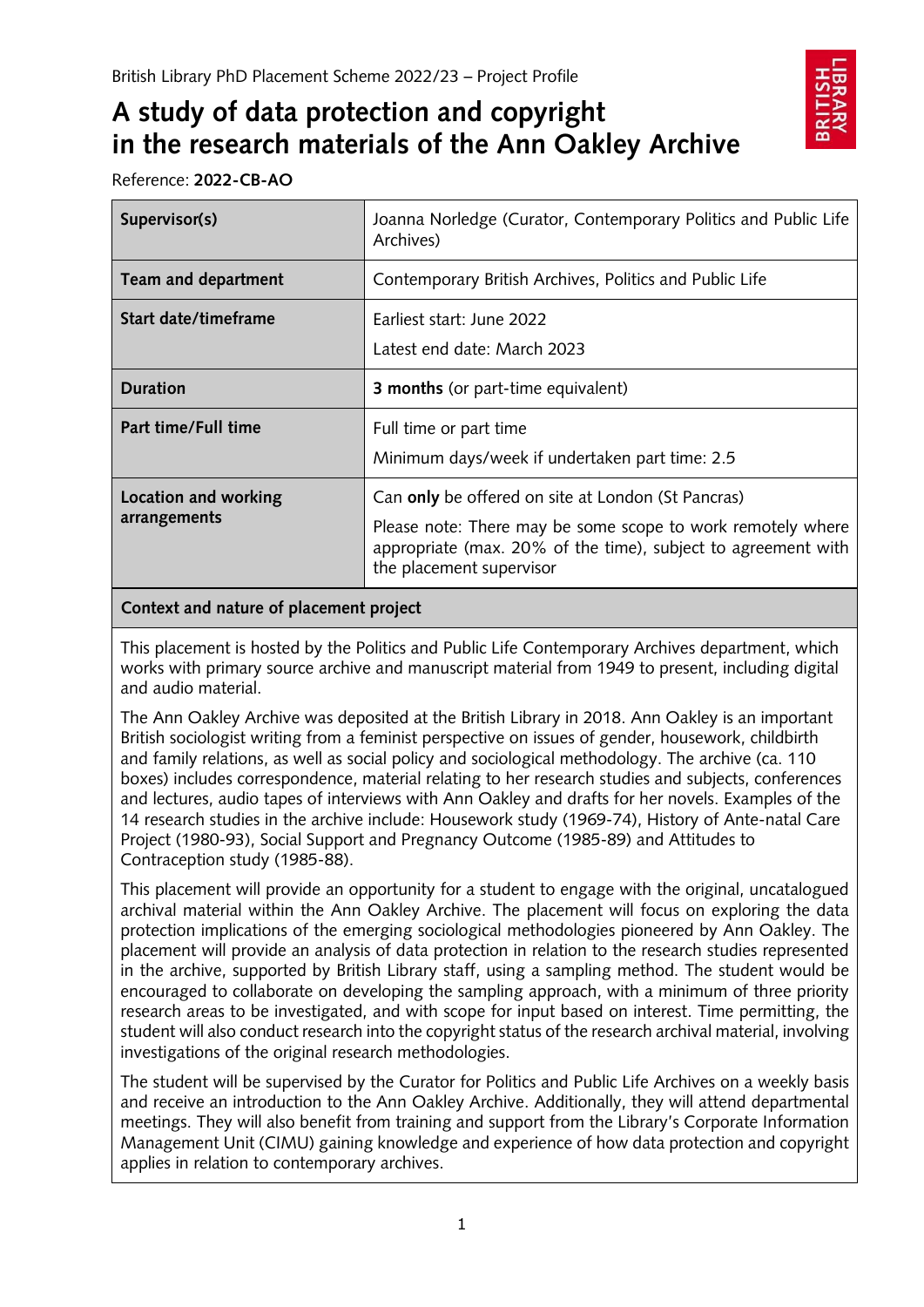# **A study of data protection and copyright in the research materials of the Ann Oakley Archive**

Reference: **2022-CB-AO**

| Supervisor(s)                        | Joanna Norledge (Curator, Contemporary Politics and Public Life<br>Archives)                                                                                                                                   |
|--------------------------------------|----------------------------------------------------------------------------------------------------------------------------------------------------------------------------------------------------------------|
| Team and department                  | Contemporary British Archives, Politics and Public Life                                                                                                                                                        |
| Start date/timeframe                 | Earliest start: June 2022<br>Latest end date: March 2023                                                                                                                                                       |
| <b>Duration</b>                      | <b>3 months</b> (or part-time equivalent)                                                                                                                                                                      |
| Part time/Full time                  | Full time or part time<br>Minimum days/week if undertaken part time: 2.5                                                                                                                                       |
| Location and working<br>arrangements | Can only be offered on site at London (St Pancras)<br>Please note: There may be some scope to work remotely where<br>appropriate (max. 20% of the time), subject to agreement with<br>the placement supervisor |

## **Context and nature of placement project**

This placement is hosted by the Politics and Public Life Contemporary Archives department, which works with primary source archive and manuscript material from 1949 to present, including digital and audio material.

The Ann Oakley Archive was deposited at the British Library in 2018. Ann Oakley is an important British sociologist writing from a feminist perspective on issues of gender, housework, childbirth and family relations, as well as social policy and sociological methodology. The archive (ca. 110 boxes) includes correspondence, material relating to her research studies and subjects, conferences and lectures, audio tapes of interviews with Ann Oakley and drafts for her novels. Examples of the 14 research studies in the archive include: Housework study (1969-74), History of Ante-natal Care Project (1980-93), Social Support and Pregnancy Outcome (1985-89) and Attitudes to Contraception study (1985-88).

This placement will provide an opportunity for a student to engage with the original, uncatalogued archival material within the Ann Oakley Archive. The placement will focus on exploring the data protection implications of the emerging sociological methodologies pioneered by Ann Oakley. The placement will provide an analysis of data protection in relation to the research studies represented in the archive, supported by British Library staff, using a sampling method. The student would be encouraged to collaborate on developing the sampling approach, with a minimum of three priority research areas to be investigated, and with scope for input based on interest. Time permitting, the student will also conduct research into the copyright status of the research archival material, involving investigations of the original research methodologies.

The student will be supervised by the Curator for Politics and Public Life Archives on a weekly basis and receive an introduction to the Ann Oakley Archive. Additionally, they will attend departmental meetings. They will also benefit from training and support from the Library's Corporate Information Management Unit (CIMU) gaining knowledge and experience of how data protection and copyright applies in relation to contemporary archives.

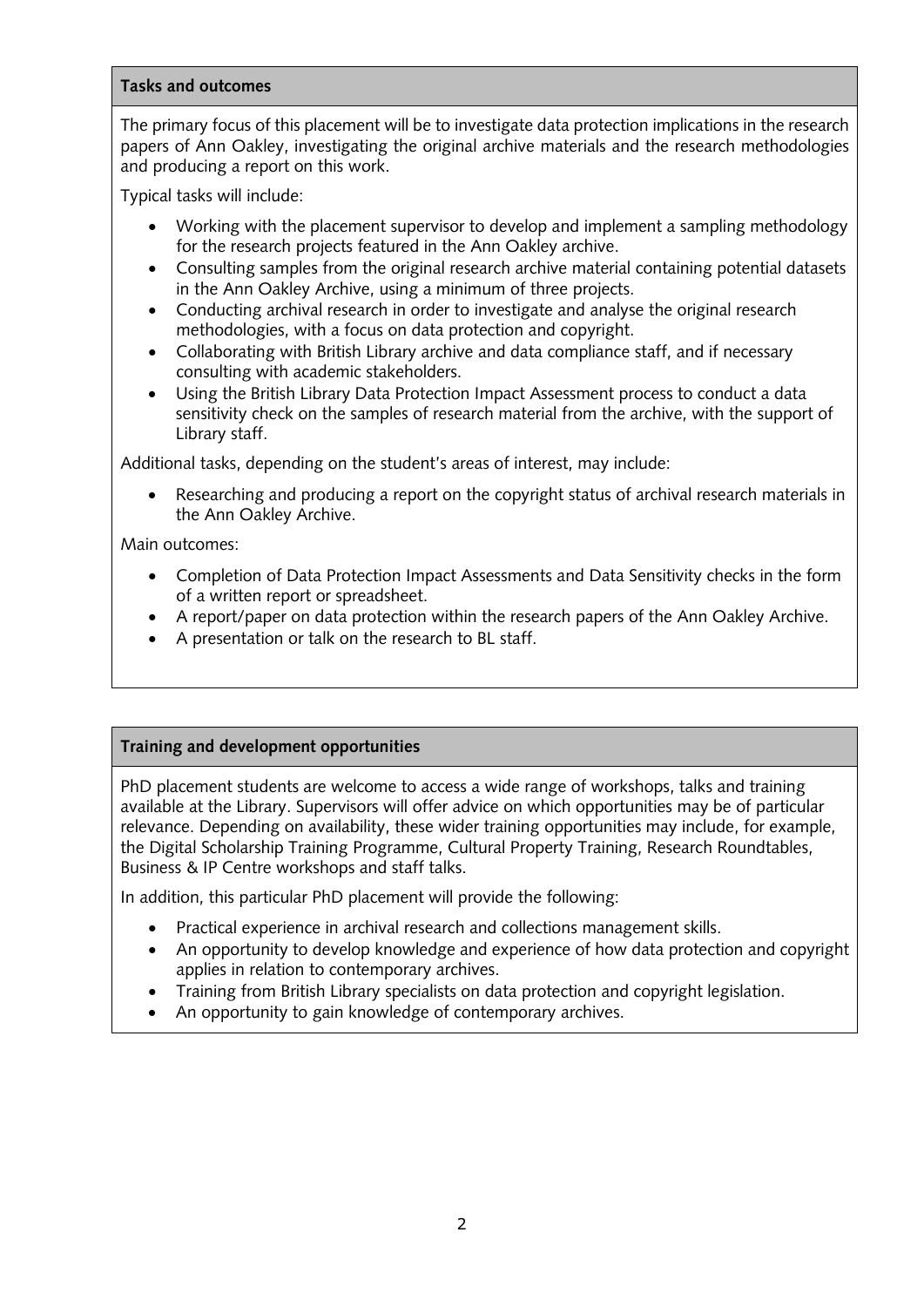#### **Tasks and outcomes**

The primary focus of this placement will be to investigate data protection implications in the research papers of Ann Oakley, investigating the original archive materials and the research methodologies and producing a report on this work.

Typical tasks will include:

- Working with the placement supervisor to develop and implement a sampling methodology for the research projects featured in the Ann Oakley archive.
- Consulting samples from the original research archive material containing potential datasets in the Ann Oakley Archive, using a minimum of three projects.
- Conducting archival research in order to investigate and analyse the original research methodologies, with a focus on data protection and copyright.
- Collaborating with British Library archive and data compliance staff, and if necessary consulting with academic stakeholders.
- Using the British Library Data Protection Impact Assessment process to conduct a data sensitivity check on the samples of research material from the archive, with the support of Library staff.

Additional tasks, depending on the student's areas of interest, may include:

Researching and producing a report on the copyright status of archival research materials in the Ann Oakley Archive.

Main outcomes:

- Completion of Data Protection Impact Assessments and Data Sensitivity checks in the form of a written report or spreadsheet.
- A report/paper on data protection within the research papers of the Ann Oakley Archive.
- A presentation or talk on the research to BL staff.

# **Training and development opportunities**

PhD placement students are welcome to access a wide range of workshops, talks and training available at the Library. Supervisors will offer advice on which opportunities may be of particular relevance. Depending on availability, these wider training opportunities may include, for example, the Digital Scholarship Training Programme, Cultural Property Training, Research Roundtables, Business & IP Centre workshops and staff talks.

In addition, this particular PhD placement will provide the following:

- Practical experience in archival research and collections management skills.
- An opportunity to develop knowledge and experience of how data protection and copyright applies in relation to contemporary archives.
- Training from British Library specialists on data protection and copyright legislation.
- An opportunity to gain knowledge of contemporary archives.